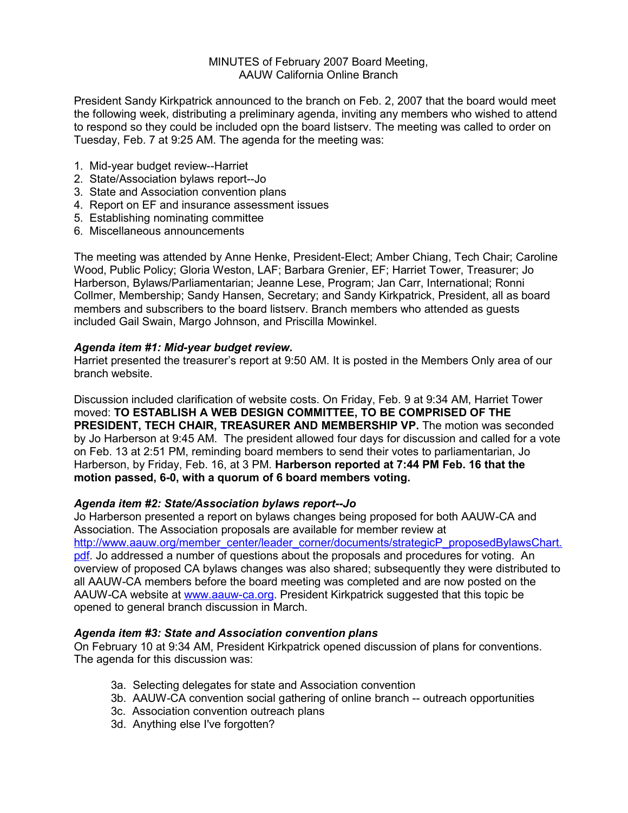# MINUTES of February 2007 Board Meeting, AAUW California Online Branch

President Sandy Kirkpatrick announced to the branch on Feb. 2, 2007 that the board would meet the following week, distributing a preliminary agenda, inviting any members who wished to attend to respond so they could be included opn the board listserv. The meeting was called to order on Tuesday, Feb. 7 at 9:25 AM. The agenda for the meeting was:

- 1. Mid-year budget review--Harriet
- 2. State/Association bylaws report--Jo
- 3. State and Association convention plans
- 4. Report on EF and insurance assessment issues
- 5. Establishing nominating committee
- 6. Miscellaneous announcements

The meeting was attended by Anne Henke, President-Elect; Amber Chiang, Tech Chair; Caroline Wood, Public Policy; Gloria Weston, LAF; Barbara Grenier, EF; Harriet Tower, Treasurer; Jo Harberson, Bylaws/Parliamentarian; Jeanne Lese, Program; Jan Carr, International; Ronni Collmer, Membership; Sandy Hansen, Secretary; and Sandy Kirkpatrick, President, all as board members and subscribers to the board listserv. Branch members who attended as guests included Gail Swain, Margo Johnson, and Priscilla Mowinkel.

## *Agenda item #1: Mid-year budget review.*

Harriet presented the treasurer's report at 9:50 AM. It is posted in the Members Only area of our branch website.

Discussion included clarification of website costs. On Friday, Feb. 9 at 9:34 AM, Harriet Tower moved: **TO ESTABLISH A WEB DESIGN COMMITTEE, TO BE COMPRISED OF THE PRESIDENT, TECH CHAIR, TREASURER AND MEMBERSHIP VP.** The motion was seconded by Jo Harberson at 9:45 AM. The president allowed four days for discussion and called for a vote on Feb. 13 at 2:51 PM, reminding board members to send their votes to parliamentarian, Jo Harberson, by Friday, Feb. 16, at 3 PM. **Harberson reported at 7:44 PM Feb. 16 that the motion passed, 6-0, with a quorum of 6 board members voting.**

# *Agenda item #2: State/Association bylaws report--Jo*

Jo Harberson presented a report on bylaws changes being proposed for both AAUW-CA and Association. The Association proposals are available for member review at http://www.aauw.org/member\_center/leader\_corner/documents/strategicP\_proposedBylawsChart. pdf. Jo addressed a number of questions about the proposals and procedures for voting. An overview of proposed CA bylaws changes was also shared; subsequently they were distributed to all AAUW-CA members before the board meeting was completed and are now posted on the AAUW-CA website at www.aauw-ca.org. President Kirkpatrick suggested that this topic be opened to general branch discussion in March.

# *Agenda item #3: State and Association convention plans*

On February 10 at 9:34 AM, President Kirkpatrick opened discussion of plans for conventions. The agenda for this discussion was:

- 3a. Selecting delegates for state and Association convention
- 3b. AAUW-CA convention social gathering of online branch -- outreach opportunities
- 3c. Association convention outreach plans
- 3d. Anything else I've forgotten?